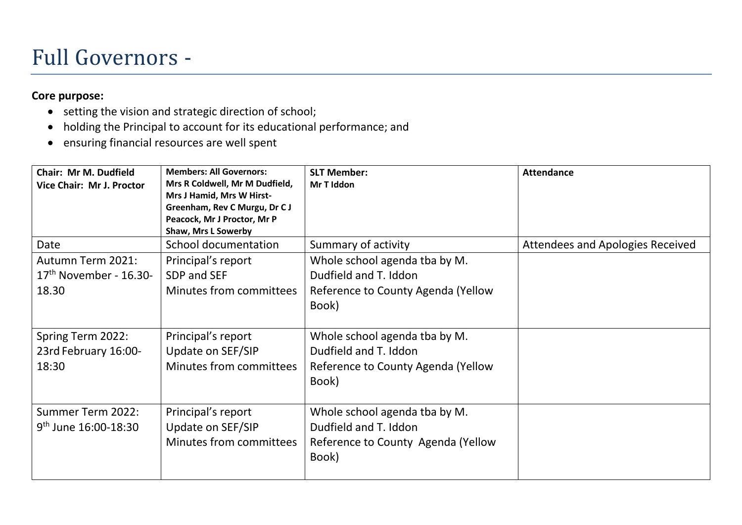#### Full Governors -

#### **Core purpose:**

- setting the vision and strategic direction of school;
- holding the Principal to account for its educational performance; and
- ensuring financial resources are well spent

| Chair: Mr M. Dudfield<br>Vice Chair: Mr J. Proctor     | <b>Members: All Governors:</b><br>Mrs R Coldwell, Mr M Dudfield,<br>Mrs J Hamid, Mrs W Hirst-<br>Greenham, Rev C Murgu, Dr C J<br>Peacock, Mr J Proctor, Mr P<br>Shaw, Mrs L Sowerby | <b>SLT Member:</b><br>Mr T Iddon                                                                      | <b>Attendance</b>                |
|--------------------------------------------------------|--------------------------------------------------------------------------------------------------------------------------------------------------------------------------------------|-------------------------------------------------------------------------------------------------------|----------------------------------|
| Date                                                   | School documentation                                                                                                                                                                 | Summary of activity                                                                                   | Attendees and Apologies Received |
| Autumn Term 2021:<br>$17th$ November - 16.30-<br>18.30 | Principal's report<br>SDP and SEF<br>Minutes from committees                                                                                                                         | Whole school agenda tba by M.<br>Dudfield and T. Iddon<br>Reference to County Agenda (Yellow<br>Book) |                                  |
| Spring Term 2022:<br>23rd February 16:00-<br>18:30     | Principal's report<br>Update on SEF/SIP<br>Minutes from committees                                                                                                                   | Whole school agenda tba by M.<br>Dudfield and T. Iddon<br>Reference to County Agenda (Yellow<br>Book) |                                  |
| Summer Term 2022:<br>$9th$ June 16:00-18:30            | Principal's report<br>Update on SEF/SIP<br>Minutes from committees                                                                                                                   | Whole school agenda tba by M.<br>Dudfield and T. Iddon<br>Reference to County Agenda (Yellow<br>Book) |                                  |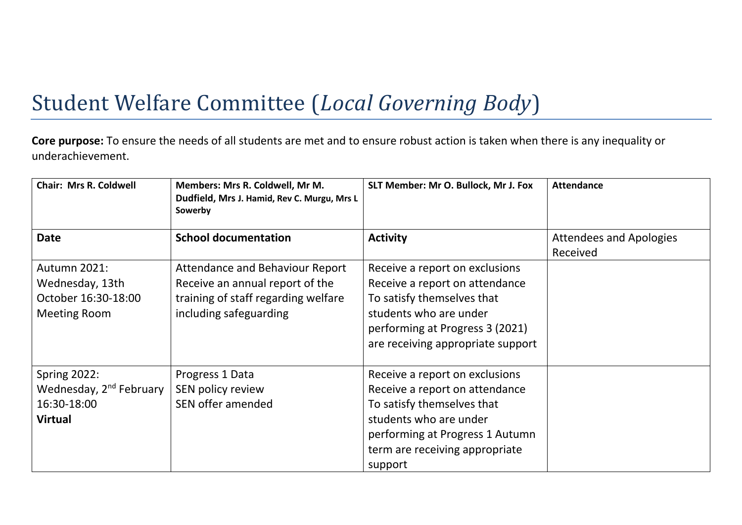# Student Welfare Committee (*Local Governing Body*)

**Core purpose:** To ensure the needs of all students are met and to ensure robust action is taken when there is any inequality or underachievement.

| <b>Chair: Mrs R. Coldwell</b>                                                               | Members: Mrs R. Coldwell, Mr M.<br>Dudfield, Mrs J. Hamid, Rev C. Murgu, Mrs L<br>Sowerby                                           | SLT Member: Mr O. Bullock, Mr J. Fox                                                                                                                                                                     | <b>Attendance</b>                          |
|---------------------------------------------------------------------------------------------|-------------------------------------------------------------------------------------------------------------------------------------|----------------------------------------------------------------------------------------------------------------------------------------------------------------------------------------------------------|--------------------------------------------|
| <b>Date</b>                                                                                 | <b>School documentation</b>                                                                                                         | <b>Activity</b>                                                                                                                                                                                          | <b>Attendees and Apologies</b><br>Received |
| Autumn 2021:<br>Wednesday, 13th<br>October 16:30-18:00<br><b>Meeting Room</b>               | Attendance and Behaviour Report<br>Receive an annual report of the<br>training of staff regarding welfare<br>including safeguarding | Receive a report on exclusions<br>Receive a report on attendance<br>To satisfy themselves that<br>students who are under<br>performing at Progress 3 (2021)<br>are receiving appropriate support         |                                            |
| <b>Spring 2022:</b><br>Wednesday, 2 <sup>nd</sup> February<br>16:30-18:00<br><b>Virtual</b> | Progress 1 Data<br>SEN policy review<br>SEN offer amended                                                                           | Receive a report on exclusions<br>Receive a report on attendance<br>To satisfy themselves that<br>students who are under<br>performing at Progress 1 Autumn<br>term are receiving appropriate<br>support |                                            |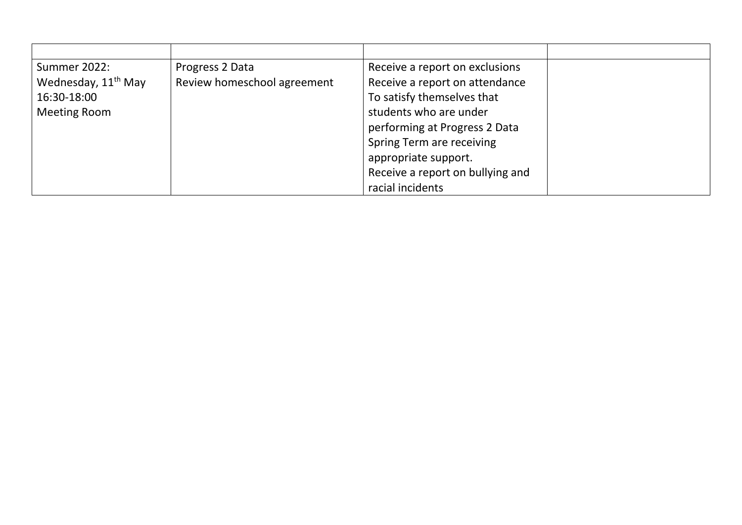| Summer 2022:                    | Progress 2 Data             | Receive a report on exclusions   |  |
|---------------------------------|-----------------------------|----------------------------------|--|
| Wednesday, 11 <sup>th</sup> May | Review homeschool agreement | Receive a report on attendance   |  |
| 16:30-18:00                     |                             | To satisfy themselves that       |  |
| <b>Meeting Room</b>             |                             | students who are under           |  |
|                                 |                             | performing at Progress 2 Data    |  |
|                                 |                             | Spring Term are receiving        |  |
|                                 |                             | appropriate support.             |  |
|                                 |                             | Receive a report on bullying and |  |
|                                 |                             | racial incidents                 |  |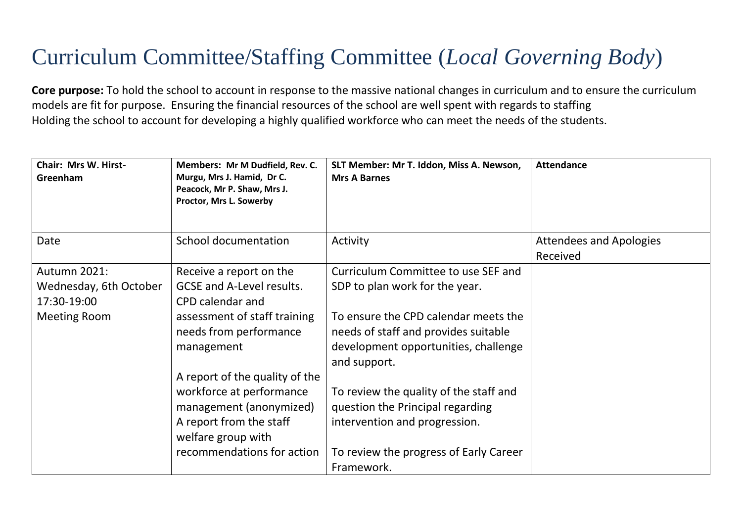# Curriculum Committee/Staffing Committee (*Local Governing Body*)

**Core purpose:** To hold the school to account in response to the massive national changes in curriculum and to ensure the curriculum models are fit for purpose. Ensuring the financial resources of the school are well spent with regards to staffing Holding the school to account for developing a highly qualified workforce who can meet the needs of the students.

| <b>Chair: Mrs W. Hirst-</b><br>Greenham | Members: Mr M Dudfield, Rev. C.<br>Murgu, Mrs J. Hamid, Dr C.<br>Peacock, Mr P. Shaw, Mrs J.<br>Proctor, Mrs L. Sowerby | SLT Member: Mr T. Iddon, Miss A. Newson,<br><b>Mrs A Barnes</b> | <b>Attendance</b>                          |
|-----------------------------------------|-------------------------------------------------------------------------------------------------------------------------|-----------------------------------------------------------------|--------------------------------------------|
| Date                                    | School documentation                                                                                                    | Activity                                                        | <b>Attendees and Apologies</b><br>Received |
| Autumn 2021:                            | Receive a report on the                                                                                                 | Curriculum Committee to use SEF and                             |                                            |
| Wednesday, 6th October                  | <b>GCSE and A-Level results.</b>                                                                                        | SDP to plan work for the year.                                  |                                            |
| 17:30-19:00                             | CPD calendar and                                                                                                        |                                                                 |                                            |
| <b>Meeting Room</b>                     | assessment of staff training                                                                                            | To ensure the CPD calendar meets the                            |                                            |
|                                         | needs from performance                                                                                                  | needs of staff and provides suitable                            |                                            |
|                                         | management                                                                                                              | development opportunities, challenge<br>and support.            |                                            |
|                                         | A report of the quality of the                                                                                          |                                                                 |                                            |
|                                         | workforce at performance                                                                                                | To review the quality of the staff and                          |                                            |
|                                         | management (anonymized)                                                                                                 | question the Principal regarding                                |                                            |
|                                         | A report from the staff                                                                                                 | intervention and progression.                                   |                                            |
|                                         | welfare group with                                                                                                      |                                                                 |                                            |
|                                         | recommendations for action                                                                                              | To review the progress of Early Career                          |                                            |
|                                         |                                                                                                                         | Framework.                                                      |                                            |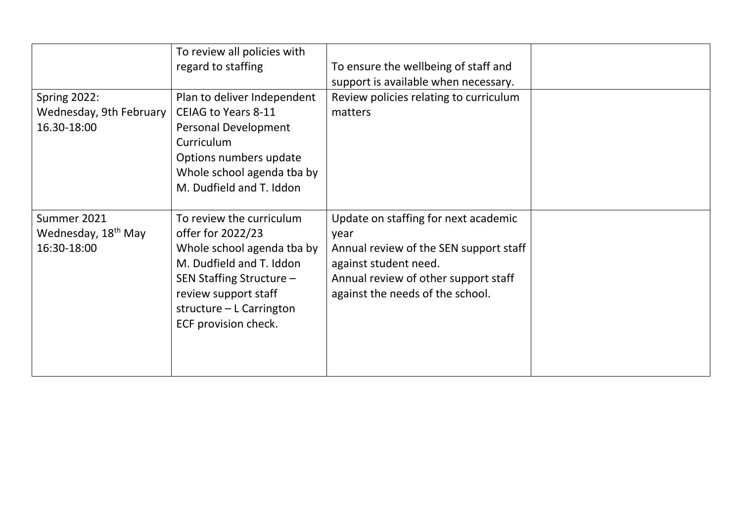|                                 | To review all policies with |                                        |  |
|---------------------------------|-----------------------------|----------------------------------------|--|
|                                 | regard to staffing          | To ensure the wellbeing of staff and   |  |
|                                 |                             | support is available when necessary.   |  |
| <b>Spring 2022:</b>             | Plan to deliver Independent | Review policies relating to curriculum |  |
| Wednesday, 9th February         | <b>CEIAG to Years 8-11</b>  | matters                                |  |
| 16.30-18:00                     | Personal Development        |                                        |  |
|                                 | Curriculum                  |                                        |  |
|                                 | Options numbers update      |                                        |  |
|                                 | Whole school agenda tba by  |                                        |  |
|                                 | M. Dudfield and T. Iddon    |                                        |  |
|                                 |                             |                                        |  |
| Summer 2021                     | To review the curriculum    | Update on staffing for next academic   |  |
| Wednesday, 18 <sup>th</sup> May | offer for 2022/23           | year                                   |  |
| 16:30-18:00                     | Whole school agenda tba by  | Annual review of the SEN support staff |  |
|                                 | M. Dudfield and T. Iddon    | against student need.                  |  |
|                                 | SEN Staffing Structure -    | Annual review of other support staff   |  |
|                                 | review support staff        | against the needs of the school.       |  |
|                                 | structure - L Carrington    |                                        |  |
|                                 | ECF provision check.        |                                        |  |
|                                 |                             |                                        |  |
|                                 |                             |                                        |  |
|                                 |                             |                                        |  |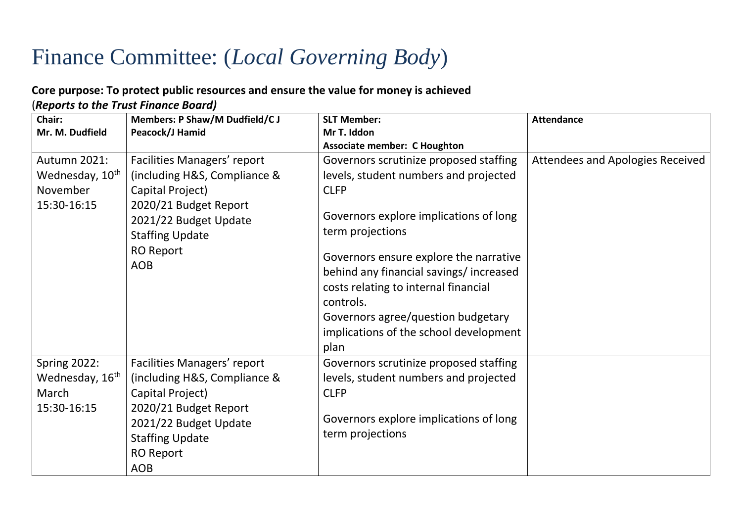## Finance Committee: (*Local Governing Body*)

#### **Core purpose: To protect public resources and ensure the value for money is achieved**

(*Reports to the Trust Finance Board)*

| Chair:                                                                     | Members: P Shaw/M Dudfield/C J                                                                                                                                                                       | <b>SLT Member:</b>                                                                                                                                                                                                                                                                          | <b>Attendance</b>                |
|----------------------------------------------------------------------------|------------------------------------------------------------------------------------------------------------------------------------------------------------------------------------------------------|---------------------------------------------------------------------------------------------------------------------------------------------------------------------------------------------------------------------------------------------------------------------------------------------|----------------------------------|
| Mr. M. Dudfield                                                            | Peacock/J Hamid                                                                                                                                                                                      | Mr T. Iddon                                                                                                                                                                                                                                                                                 |                                  |
|                                                                            |                                                                                                                                                                                                      | <b>Associate member: C Houghton</b>                                                                                                                                                                                                                                                         |                                  |
| Autumn 2021:                                                               | Facilities Managers' report                                                                                                                                                                          | Governors scrutinize proposed staffing                                                                                                                                                                                                                                                      | Attendees and Apologies Received |
| Wednesday, 10 <sup>th</sup>                                                | (including H&S, Compliance &                                                                                                                                                                         | levels, student numbers and projected                                                                                                                                                                                                                                                       |                                  |
| November                                                                   | Capital Project)                                                                                                                                                                                     | <b>CLFP</b>                                                                                                                                                                                                                                                                                 |                                  |
| 15:30-16:15                                                                | 2020/21 Budget Report<br>2021/22 Budget Update<br><b>Staffing Update</b><br><b>RO Report</b><br><b>AOB</b>                                                                                           | Governors explore implications of long<br>term projections<br>Governors ensure explore the narrative<br>behind any financial savings/increased<br>costs relating to internal financial<br>controls.<br>Governors agree/question budgetary<br>implications of the school development<br>plan |                                  |
| <b>Spring 2022:</b><br>Wednesday, 16 <sup>th</sup><br>March<br>15:30-16:15 | <b>Facilities Managers' report</b><br>(including H&S, Compliance &<br>Capital Project)<br>2020/21 Budget Report<br>2021/22 Budget Update<br><b>Staffing Update</b><br><b>RO Report</b><br><b>AOB</b> | Governors scrutinize proposed staffing<br>levels, student numbers and projected<br><b>CLFP</b><br>Governors explore implications of long<br>term projections                                                                                                                                |                                  |